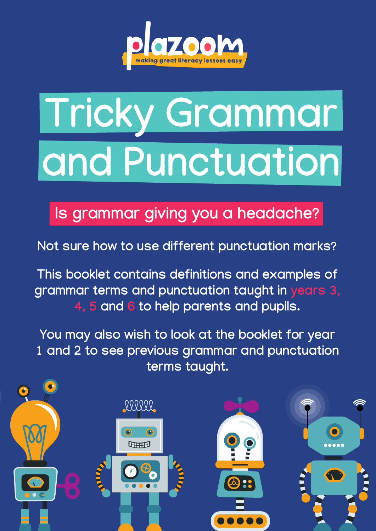

## **Tricky Grammar and Punctuation**

**Is grammar giving you a headache?**

**Not sure how to use different punctuation marks?** 

**This booklet contains definitions and examples of grammar terms and punctuation taught in years 3, 4, 5 and 6 to help parents and pupils.**

**You may also wish to look at the booklet for year 1 and 2 to see previous grammar and punctuation terms taught.**

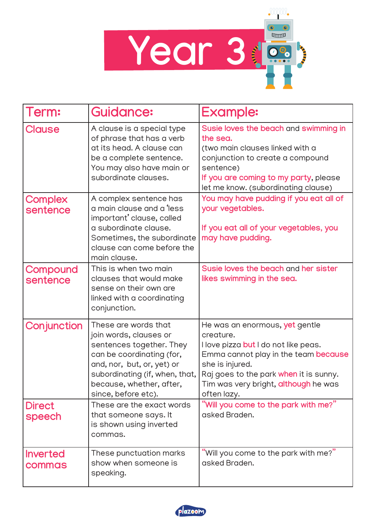

| Term:                     | <b>Guidance:</b>                                                                                                                                                                                                           | <b>Example:</b>                                                                                                                                                                                                                                 |
|---------------------------|----------------------------------------------------------------------------------------------------------------------------------------------------------------------------------------------------------------------------|-------------------------------------------------------------------------------------------------------------------------------------------------------------------------------------------------------------------------------------------------|
| <b>Clause</b>             | A clause is a special type<br>of phrase that has a verb<br>at its head. A clause can<br>be a complete sentence.<br>You may also have main or<br>subordinate clauses.                                                       | Susie loves the beach and swimming in<br>the sea.<br>(two main clauses linked with a<br>conjunction to create a compound<br>sentence)<br>If you are coming to my party, please<br>let me know. (subordinating clause)                           |
| Complex<br>sentence       | A complex sentence has<br>a main clause and a 'less<br>important' clause, called<br>a subordinate clause.<br>Sometimes, the subordinate<br>clause can come before the<br>main clause.                                      | You may have pudding if you eat all of<br>your vegetables.<br>If you eat all of your vegetables, you<br>may have pudding.                                                                                                                       |
| Compound<br>sentence      | This is when two main<br>clauses that would make<br>sense on their own are<br>linked with a coordinating<br>conjunction.                                                                                                   | Susie loves the beach and her sister<br>likes swimming in the sea.                                                                                                                                                                              |
| Conjunction               | These are words that<br>join words, clauses or<br>sentences together. They<br>can be coordinating (for,<br>and, nor, but, or, yet) or<br>subordinating (if, when, that,<br>because, whether, after,<br>since, before etc). | He was an enormous, yet gentle<br>creature.<br>I love pizza but I do not like peas.<br>Emma cannot play in the team because<br>she is injured.<br>Raj goes to the park when it is sunny.<br>Tim was very bright, although he was<br>often lazy. |
| <b>Direct</b><br>speech   | These are the exact words<br>that someone says. It<br>is shown using inverted<br>commas.                                                                                                                                   | "Will you come to the park with me?"<br>asked Braden.                                                                                                                                                                                           |
| <b>Inverted</b><br>commas | These punctuation marks<br>show when someone is<br>speaking.                                                                                                                                                               | "Will you come to the park with me?" $\,$<br>asked Braden.                                                                                                                                                                                      |

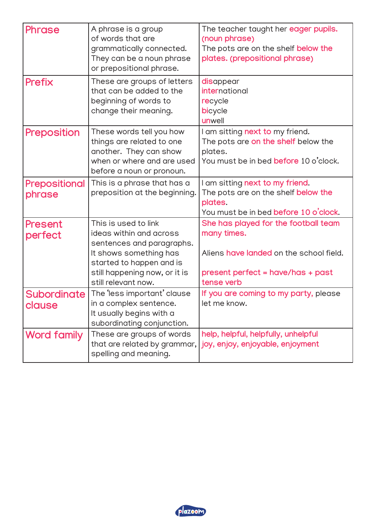| <b>Phrase</b>                | A phrase is a group<br>of words that are<br>grammatically connected.<br>They can be a noun phrase<br>or prepositional phrase.                                                              | The teacher taught her eager pupils.<br>(noun phrase)<br>The pots are on the shelf below the<br>plates. (prepositional phrase)                    |
|------------------------------|--------------------------------------------------------------------------------------------------------------------------------------------------------------------------------------------|---------------------------------------------------------------------------------------------------------------------------------------------------|
| <b>Prefix</b>                | These are groups of letters<br>that can be added to the<br>beginning of words to<br>change their meaning.                                                                                  | disappear<br><i>international</i><br>recycle<br>bicycle<br>unwell                                                                                 |
| <b>Preposition</b>           | These words tell you how<br>things are related to one<br>another. They can show<br>when or where and are used<br>before a noun or pronoun.                                                 | I am sitting next to my friend.<br>The pots are on the shelf below the<br>plates.<br>You must be in bed <b>before</b> 10 o'clock.                 |
| Prepositional<br>phrase      | This is a phrase that has a<br>preposition at the beginning.                                                                                                                               | I am sitting next to my friend.<br>The pots are on the shelf <b>below the</b><br>plates.<br>You must be in bed before 10 o'clock.                 |
| Present<br>perfect           | This is used to link<br>ideas within and across<br>sentences and paragraphs.<br>It shows something has<br>started to happen and is<br>still happening now, or it is<br>still relevant now. | She has played for the football team<br>many times.<br>Aliens have landed on the school field.<br>present perfect = have/has + past<br>tense verb |
| <b>Subordinate</b><br>clause | The 'less important' clause<br>in a complex sentence.<br>It usually begins with a<br>subordinating conjunction.                                                                            | If you are coming to my party, please<br>let me know.                                                                                             |
| <b>Word family</b>           | These are groups of words<br>that are related by grammar,  <br>spelling and meaning.                                                                                                       | help, helpful, helpfully, unhelpful<br>joy, enjoy, enjoyable, enjoyment                                                                           |

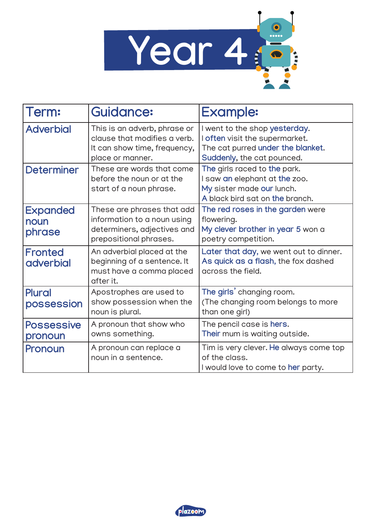

| Term:                              | <b>Guidance:</b>                                                                                                   | <b>Example:</b>                                                                                                                    |
|------------------------------------|--------------------------------------------------------------------------------------------------------------------|------------------------------------------------------------------------------------------------------------------------------------|
| <b>Adverbial</b>                   | This is an adverb, phrase or<br>clause that modifies a verb.<br>It can show time, frequency,<br>place or manner.   | I went to the shop yesterday.<br>I often visit the supermarket.<br>The cat purred under the blanket.<br>Suddenly, the cat pounced. |
| <b>Determiner</b>                  | These are words that come<br>before the noun or at the<br>start of a noun phrase.                                  | The girls raced to the park.<br>I saw an elephant at the zoo.<br>My sister made our lunch.<br>A black bird sat on the branch.      |
| <b>Expanded</b><br>noun<br>phrase  | These are phrases that add<br>information to a noun using<br>determiners, adjectives and<br>prepositional phrases. | The red roses in the garden were<br>flowering.<br>My clever brother in year 5 won a<br>poetry competition.                         |
| <b>Fronted</b><br><b>adverbial</b> | An adverbial placed at the<br>beginning of a sentence. It<br>must have a comma placed<br>after it.                 | Later that day, we went out to dinner.<br>As quick as a flash, the fox dashed<br>across the field.                                 |
| <b>Plural</b><br>possession        | Apostrophes are used to<br>show possession when the<br>noun is plural.                                             | The girls' changing room.<br>(The changing room belongs to more<br>than one girl)                                                  |
| <b>Possessive</b><br>pronoun       | A pronoun that show who<br>owns something.                                                                         | The pencil case is hers.<br>Their mum is waiting outside.                                                                          |
| Pronoun                            | A pronoun can replace a<br>noun in a sentence.                                                                     | Tim is very clever. He always come top<br>of the class.<br>I would love to come to her party.                                      |

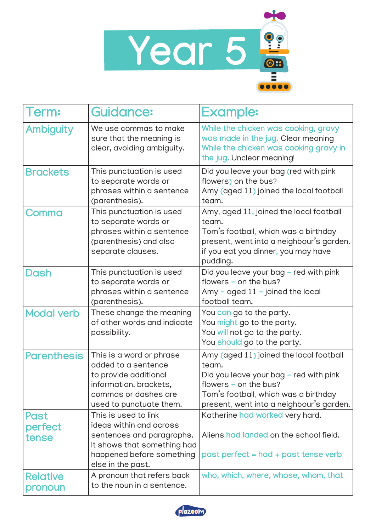

| Term:                      | <b>Guidance:</b>                                                                                                                                              | <b>Example:</b>                                                                                                                                                                                           |
|----------------------------|---------------------------------------------------------------------------------------------------------------------------------------------------------------|-----------------------------------------------------------------------------------------------------------------------------------------------------------------------------------------------------------|
| <b>Ambiguity</b>           | We use commas to make<br>sure that the meaning is<br>clear, avoiding ambiguity.                                                                               | While the chicken was cooking, gravy<br>was made in the jug. Clear meaning<br>While the chicken was cooking gravy in<br>the jug. Unclear meaning!                                                         |
| <b>Brackets</b>            | This punctuation is used<br>to separate words or<br>phrases within a sentence<br>(parenthesis).                                                               | Did you leave your bag (red with pink<br>flowers) on the bus?<br>Amy (aged 11) joined the local football<br>team.                                                                                         |
| Comma                      | This punctuation is used<br>to separate words or<br>phrases within a sentence<br>(parenthesis) and also<br>separate clauses.                                  | Amy, aged 11, joined the local football<br>team.<br>Tom's football, which was a birthday<br>present, went into a neighbour's garden.<br>if you eat you dinner, you may have<br>pudding.                   |
| <b>Dash</b>                | This punctuation is used<br>to separate words or<br>phrases within a sentence<br>(parenthesis).                                                               | Did you leave your bag - red with pink<br>flowers - on the bus?<br>Amy – aged $11$ – joined the local<br>football team.                                                                                   |
| <b>Modal verb</b>          | These change the meaning<br>of other words and indicate<br>possibility.                                                                                       | You can go to the party.<br>You might go to the party.<br>You will not go to the party.<br>You should go to the party.                                                                                    |
| <b>Parenthesis</b>         | This is a word or phrase<br>added to a sentence<br>to provide additional<br>information. brackets<br>commas or dashes are<br>used to punctuate them.          | Amy (aged 11) joined the local football<br>team.<br>Did you leave your bag - red with pink<br>flowers $-$ on the bus?<br>Tom's football, which was a birthday<br>present, went into a neighbour's garden. |
| Past<br>perfect<br>tense   | This is used to link<br>ideas within and across<br>sentences and paragraphs.<br>It shows that something had<br>happened before something<br>else in the past. | Katherine had worked very hard.<br>Aliens had landed on the school field.<br>past perfect = had + past tense verb                                                                                         |
| <b>Relative</b><br>pronoun | A pronoun that refers back<br>to the noun in a sentence.                                                                                                      | who, which, where, whose, whom, that                                                                                                                                                                      |

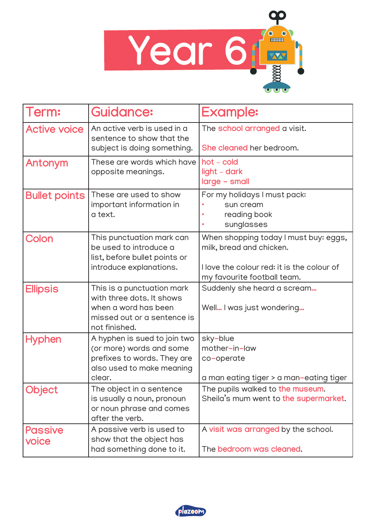

| Term:                   | <b>Guidance:</b>                                                                                                                | <b>Example:</b>                                                                                                                                |
|-------------------------|---------------------------------------------------------------------------------------------------------------------------------|------------------------------------------------------------------------------------------------------------------------------------------------|
| <b>Active voice</b>     | An active verb is used in a<br>sentence to show that the<br>subject is doing something.                                         | The school arranged a visit.<br>She cleaned her bedroom.                                                                                       |
| Antonym                 | These are words which have<br>opposite meanings.                                                                                | hot - cold<br>light - dark<br>large - small                                                                                                    |
| <b>Bullet points</b>    | These are used to show<br>important information in<br>a text.                                                                   | For my holidays I must pack:<br>sun cream<br>reading book<br>sunglasses                                                                        |
| Colon                   | This punctuation mark can<br>be used to introduce a<br>list, before bullet points or<br>introduce explanations.                 | When shopping today I must buy: eggs,<br>milk, bread and chicken.<br>I love the colour red: it is the colour of<br>my favourite football team. |
| <b>Ellipsis</b>         | This is a punctuation mark<br>with three dots. It shows<br>when a word has been<br>missed out or a sentence is<br>not finished. | Suddenly she heard a scream<br>Well I was just wondering                                                                                       |
| <b>Hyphen</b>           | A hyphen is sued to join two<br>(or more) words and some<br>prefixes to words. They are<br>also used to make meaning<br>clear.  | sky-blue<br>mother-in-law<br>co-operate<br>a man eating tiger > a man-eating tiger                                                             |
| Object                  | The object in a sentence<br>is usually a noun, pronoun<br>or noun phrase and comes<br>after the verb.                           | The pupils walked to the museum.<br>Sheila's mum went to the supermarket.                                                                      |
| <b>Passive</b><br>voice | A passive verb is used to<br>show that the object has<br>had something done to it.                                              | A visit was arranged by the school.<br>The bedroom was cleaned.                                                                                |